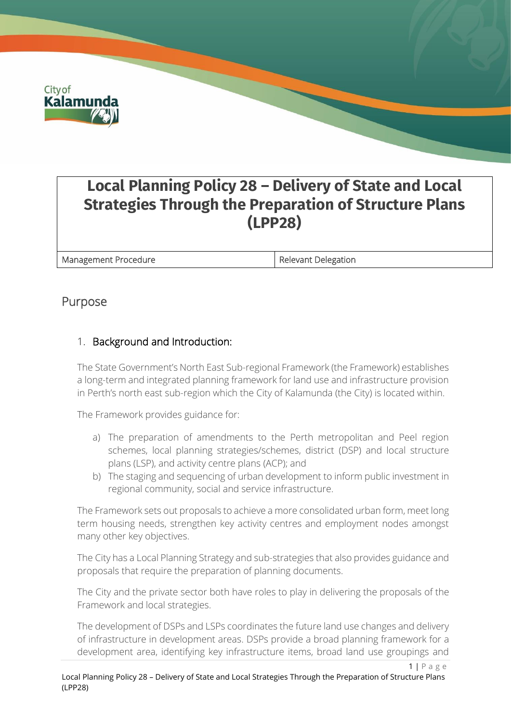

# **Local Planning Policy 28 – Delivery of State and Local Strategies Through the Preparation of Structure Plans (LPP28)**

Management Procedure **Relevant Delegation** 

# Purpose

## 1. Background and Introduction:

The State Government's North East Sub-regional Framework (the Framework) establishes a long-term and integrated planning framework for land use and infrastructure provision in Perth's north east sub-region which the City of Kalamunda (the City) is located within.

The Framework provides guidance for:

- a) The preparation of amendments to the Perth metropolitan and Peel region schemes, local planning strategies/schemes, district (DSP) and local structure plans (LSP), and activity centre plans (ACP); and
- b) The staging and sequencing of urban development to inform public investment in regional community, social and service infrastructure.

The Framework sets out proposals to achieve a more consolidated urban form, meet long term housing needs, strengthen key activity centres and employment nodes amongst many other key objectives.

The City has a Local Planning Strategy and sub-strategies that also provides guidance and proposals that require the preparation of planning documents.

The City and the private sector both have roles to play in delivering the proposals of the Framework and local strategies.

The development of DSPs and LSPs coordinates the future land use changes and delivery of infrastructure in development areas. DSPs provide a broad planning framework for a development area, identifying key infrastructure items, broad land use groupings and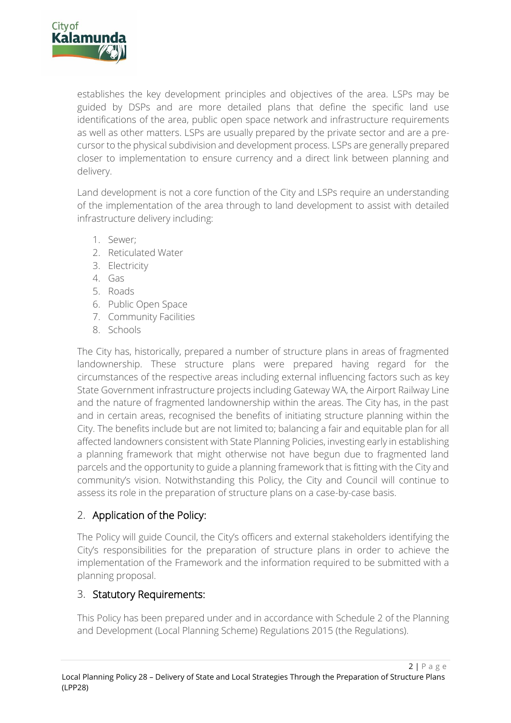

establishes the key development principles and objectives of the area. LSPs may be guided by DSPs and are more detailed plans that define the specific land use identifications of the area, public open space network and infrastructure requirements as well as other matters. LSPs are usually prepared by the private sector and are a precursor to the physical subdivision and development process. LSPs are generally prepared closer to implementation to ensure currency and a direct link between planning and delivery.

Land development is not a core function of the City and LSPs require an understanding of the implementation of the area through to land development to assist with detailed infrastructure delivery including:

- 1. Sewer;
- 2. Reticulated Water
- 3. Electricity
- 4. Gas
- 5. Roads
- 6. Public Open Space
- 7. Community Facilities
- 8. Schools

The City has, historically, prepared a number of structure plans in areas of fragmented landownership. These structure plans were prepared having regard for the circumstances of the respective areas including external influencing factors such as key State Government infrastructure projects including Gateway WA, the Airport Railway Line and the nature of fragmented landownership within the areas. The City has, in the past and in certain areas, recognised the benefits of initiating structure planning within the City. The benefits include but are not limited to; balancing a fair and equitable plan for all affected landowners consistent with State Planning Policies, investing early in establishing a planning framework that might otherwise not have begun due to fragmented land parcels and the opportunity to guide a planning framework that is fitting with the City and community's vision. Notwithstanding this Policy, the City and Council will continue to assess its role in the preparation of structure plans on a case-by-case basis.

## 2. Application of the Policy:

The Policy will guide Council, the City's officers and external stakeholders identifying the City's responsibilities for the preparation of structure plans in order to achieve the implementation of the Framework and the information required to be submitted with a planning proposal.

#### 3. Statutory Requirements:

This Policy has been prepared under and in accordance with Schedule 2 of the Planning and Development (Local Planning Scheme) Regulations 2015 (the Regulations).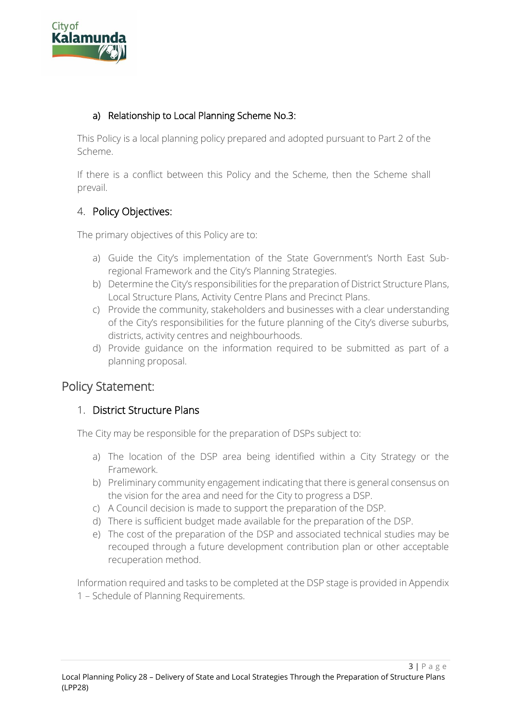

#### a) Relationship to Local Planning Scheme No.3:

This Policy is a local planning policy prepared and adopted pursuant to Part 2 of the Scheme.

If there is a conflict between this Policy and the Scheme, then the Scheme shall prevail.

#### 4. Policy Objectives:

The primary objectives of this Policy are to:

- a) Guide the City's implementation of the State Government's North East Subregional Framework and the City's Planning Strategies.
- b) Determine the City's responsibilities for the preparation of District Structure Plans, Local Structure Plans, Activity Centre Plans and Precinct Plans.
- c) Provide the community, stakeholders and businesses with a clear understanding of the City's responsibilities for the future planning of the City's diverse suburbs, districts, activity centres and neighbourhoods.
- d) Provide guidance on the information required to be submitted as part of a planning proposal.

# Policy Statement:

#### 1. District Structure Plans

The City may be responsible for the preparation of DSPs subject to:

- a) The location of the DSP area being identified within a City Strategy or the Framework.
- b) Preliminary community engagement indicating that there is general consensus on the vision for the area and need for the City to progress a DSP.
- c) A Council decision is made to support the preparation of the DSP.
- d) There is sufficient budget made available for the preparation of the DSP.
- e) The cost of the preparation of the DSP and associated technical studies may be recouped through a future development contribution plan or other acceptable recuperation method.

Information required and tasks to be completed at the DSP stage is provided in Appendix 1 – Schedule of Planning Requirements.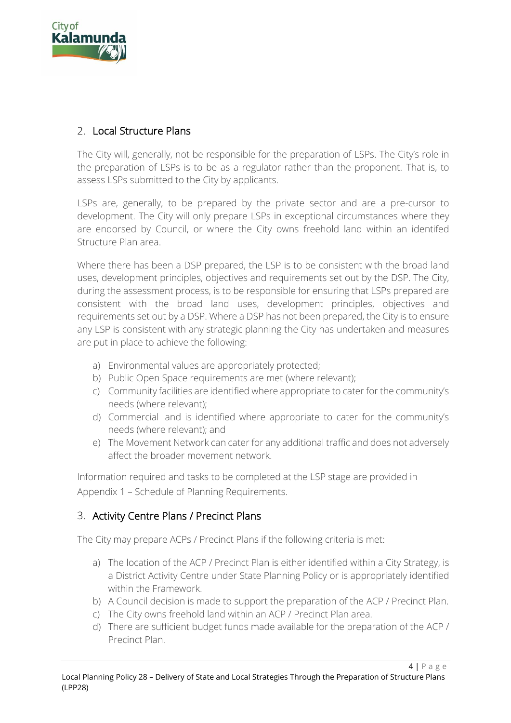

#### 2. Local Structure Plans

The City will, generally, not be responsible for the preparation of LSPs. The City's role in the preparation of LSPs is to be as a regulator rather than the proponent. That is, to assess LSPs submitted to the City by applicants.

LSPs are, generally, to be prepared by the private sector and are a pre-cursor to development. The City will only prepare LSPs in exceptional circumstances where they are endorsed by Council, or where the City owns freehold land within an identifed Structure Plan area.

Where there has been a DSP prepared, the LSP is to be consistent with the broad land uses, development principles, objectives and requirements set out by the DSP. The City, during the assessment process, is to be responsible for ensuring that LSPs prepared are consistent with the broad land uses, development principles, objectives and requirements set out by a DSP. Where a DSP has not been prepared, the City is to ensure any LSP is consistent with any strategic planning the City has undertaken and measures are put in place to achieve the following:

- a) Environmental values are appropriately protected;
- b) Public Open Space requirements are met (where relevant);
- c) Community facilities are identified where appropriate to cater for the community's needs (where relevant);
- d) Commercial land is identified where appropriate to cater for the community's needs (where relevant); and
- e) The Movement Network can cater for any additional traffic and does not adversely affect the broader movement network.

Information required and tasks to be completed at the LSP stage are provided in Appendix 1 – Schedule of Planning Requirements.

## 3. Activity Centre Plans / Precinct Plans

The City may prepare ACPs / Precinct Plans if the following criteria is met:

- a) The location of the ACP / Precinct Plan is either identified within a City Strategy, is a District Activity Centre under State Planning Policy or is appropriately identified within the Framework.
- b) A Council decision is made to support the preparation of the ACP / Precinct Plan.
- c) The City owns freehold land within an ACP / Precinct Plan area.
- d) There are sufficient budget funds made available for the preparation of the ACP / Precinct Plan.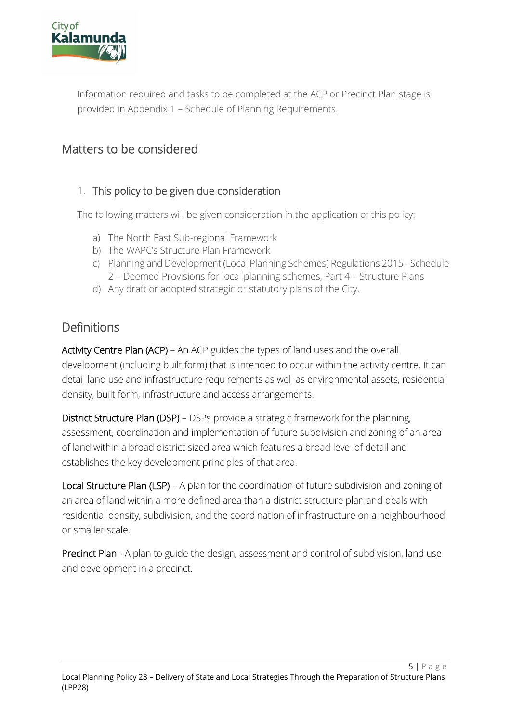

Information required and tasks to be completed at the ACP or Precinct Plan stage is provided in Appendix 1 – Schedule of Planning Requirements.

# Matters to be considered

#### 1. This policy to be given due consideration

The following matters will be given consideration in the application of this policy:

- a) The North East Sub-regional Framework
- b) The WAPC's Structure Plan Framework
- c) Planning and Development (Local Planning Schemes) Regulations 2015 Schedule 2 – Deemed Provisions for local planning schemes, Part 4 – Structure Plans
- d) Any draft or adopted strategic or statutory plans of the City.

# Definitions

Activity Centre Plan (ACP) – An ACP guides the types of land uses and the overall development (including built form) that is intended to occur within the activity centre. It can detail land use and infrastructure requirements as well as environmental assets, residential density, built form, infrastructure and access arrangements.

District Structure Plan (DSP) – DSPs provide a strategic framework for the planning, assessment, coordination and implementation of future subdivision and zoning of an area of land within a broad district sized area which features a broad level of detail and establishes the key development principles of that area.

Local Structure Plan (LSP) – A plan for the coordination of future subdivision and zoning of an area of land within a more defined area than a district structure plan and deals with residential density, subdivision, and the coordination of infrastructure on a neighbourhood or smaller scale.

Precinct Plan - A plan to guide the design, assessment and control of subdivision, land use and development in a precinct.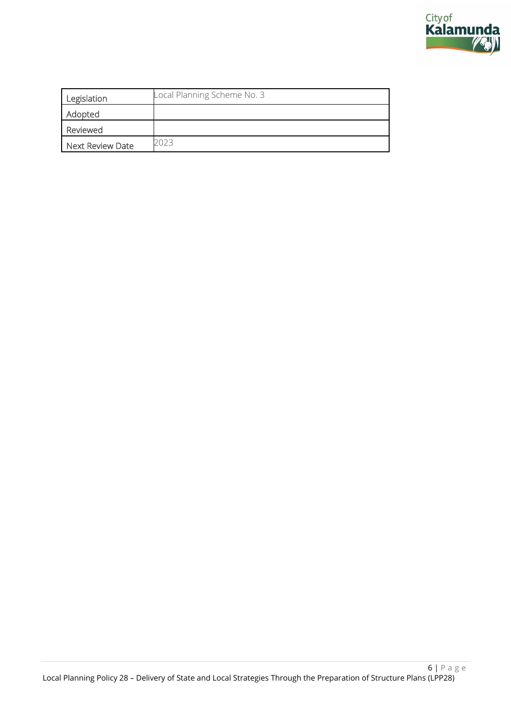

| Legislation      | Local Planning Scheme No. 3 |
|------------------|-----------------------------|
| Adopted          |                             |
| Reviewed         |                             |
| Next Review Date | 2023                        |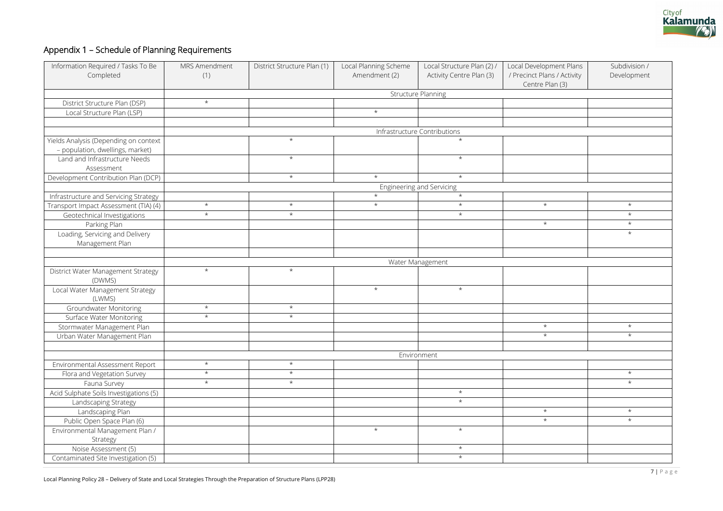

# Appendix 1 – Schedule of Planning Requirements

| Local Development Plans     | Subdivision / |
|-----------------------------|---------------|
|                             |               |
| / Precinct Plans / Activity | Development   |
| Centre Plan (3)             |               |
|                             |               |
|                             |               |
|                             |               |
|                             |               |
|                             |               |
|                             |               |
|                             |               |
|                             |               |
|                             |               |
|                             |               |
|                             |               |
|                             |               |
|                             |               |
|                             |               |
|                             |               |
|                             |               |
|                             |               |
| $\star$                     | $\star$       |
|                             |               |
|                             | $\star$       |
| $\star$                     | $\star$       |
|                             | $\star$       |
|                             |               |
|                             |               |
|                             |               |
|                             |               |
|                             |               |
|                             |               |
|                             |               |
|                             |               |
|                             |               |
|                             |               |
|                             |               |
|                             |               |
|                             |               |
| $\star$                     | $\star$       |
|                             |               |
| $\star$                     | $^\star$      |
|                             |               |
|                             |               |
|                             |               |
|                             |               |
|                             | $\star$       |
|                             |               |
|                             | $\star$       |
|                             |               |
|                             |               |
|                             |               |
| $^\star$                    | $^\star$      |
| $\star$                     | $^\star$      |
|                             |               |
|                             |               |
|                             |               |
|                             |               |
|                             |               |
|                             |               |
|                             |               |

| Information Required / Tasks To Be<br>Completed | MRS Amendment<br>(1)      | District Structure Plan (1) | Local Planning Scheme<br>Amendment (2) | Local Structure Plan (2) /<br>Activity Centre Plan (3) | Local Development Plans<br>/ Precinct Plans / Activity<br>Centre Plan (3) | Subdiv<br>Develo |  |  |  |
|-------------------------------------------------|---------------------------|-----------------------------|----------------------------------------|--------------------------------------------------------|---------------------------------------------------------------------------|------------------|--|--|--|
|                                                 | <b>Structure Planning</b> |                             |                                        |                                                        |                                                                           |                  |  |  |  |
| District Structure Plan (DSP)                   | $\star$                   |                             |                                        |                                                        |                                                                           |                  |  |  |  |
| Local Structure Plan (LSP)                      |                           |                             | $\star$                                |                                                        |                                                                           |                  |  |  |  |
|                                                 |                           |                             |                                        |                                                        |                                                                           |                  |  |  |  |
|                                                 |                           |                             |                                        | Infrastructure Contributions                           |                                                                           |                  |  |  |  |
| Yields Analysis (Depending on context           |                           | $\star$                     |                                        | $\star$                                                |                                                                           |                  |  |  |  |
| - population, dwellings, market)                |                           |                             |                                        |                                                        |                                                                           |                  |  |  |  |
| Land and Infrastructure Needs                   |                           | $\star$                     |                                        | $\star$                                                |                                                                           |                  |  |  |  |
| Assessment                                      |                           |                             |                                        |                                                        |                                                                           |                  |  |  |  |
| Development Contribution Plan (DCP)             |                           | $\star$                     | $\star$                                | $\star$                                                |                                                                           |                  |  |  |  |
|                                                 |                           | Engineering and Servicing   |                                        |                                                        |                                                                           |                  |  |  |  |
| Infrastructure and Servicing Strategy           |                           |                             | $\star$                                | $\star$                                                |                                                                           |                  |  |  |  |
| Transport Impact Assessment (TIA) (4)           | $\star$                   | $\star$                     | $\star$                                | $\star$                                                | $\star$                                                                   |                  |  |  |  |
| Geotechnical Investigations                     | $\star$                   | $\star$                     |                                        | $\star$                                                |                                                                           |                  |  |  |  |
| Parking Plan                                    |                           |                             |                                        |                                                        | $\star$                                                                   |                  |  |  |  |
| Loading, Servicing and Delivery                 |                           |                             |                                        |                                                        |                                                                           | $\star$          |  |  |  |
| Management Plan                                 |                           |                             |                                        |                                                        |                                                                           |                  |  |  |  |
|                                                 |                           |                             |                                        |                                                        |                                                                           |                  |  |  |  |
|                                                 |                           |                             |                                        | Water Management                                       |                                                                           |                  |  |  |  |
| District Water Management Strategy<br>(DWMS)    | $\star$                   | $\star$                     |                                        |                                                        |                                                                           |                  |  |  |  |
| Local Water Management Strategy<br>(LWMS)       |                           |                             | $\star$                                | $\star$                                                |                                                                           |                  |  |  |  |
| Groundwater Monitoring                          | $\star$                   | $\star$                     |                                        |                                                        |                                                                           |                  |  |  |  |
| <b>Surface Water Monitoring</b>                 | $\star$                   | $\star$                     |                                        |                                                        |                                                                           |                  |  |  |  |
| Stormwater Management Plan                      |                           |                             |                                        |                                                        | $\star$                                                                   |                  |  |  |  |
| Urban Water Management Plan                     |                           |                             |                                        |                                                        | $\star$                                                                   | $\star$          |  |  |  |
|                                                 |                           |                             |                                        |                                                        |                                                                           |                  |  |  |  |
|                                                 | Environment               |                             |                                        |                                                        |                                                                           |                  |  |  |  |
| Environmental Assessment Report                 | $\star$                   | $\star$                     |                                        |                                                        |                                                                           |                  |  |  |  |
| Flora and Vegetation Survey                     | $\star$                   | $\star$                     |                                        |                                                        |                                                                           | $\star$          |  |  |  |
| Fauna Survey                                    | $\star$                   | $\star$                     |                                        |                                                        |                                                                           | $\star$          |  |  |  |
| Acid Sulphate Soils Investigations (5)          |                           |                             |                                        | $\star$                                                |                                                                           |                  |  |  |  |
| Landscaping Strategy                            |                           |                             |                                        | $\star$                                                |                                                                           |                  |  |  |  |
| Landscaping Plan                                |                           |                             |                                        |                                                        | $\star$                                                                   | $\star$          |  |  |  |
| Public Open Space Plan (6)                      |                           |                             |                                        |                                                        | $\star$                                                                   | $\star$          |  |  |  |
| Environmental Management Plan /                 |                           |                             | $\star$                                | $\star$                                                |                                                                           |                  |  |  |  |
| Strategy                                        |                           |                             |                                        |                                                        |                                                                           |                  |  |  |  |
| Noise Assessment (5)                            |                           |                             |                                        | $\star$                                                |                                                                           |                  |  |  |  |
| Contaminated Site Investigation (5)             |                           |                             |                                        | $\star$                                                |                                                                           |                  |  |  |  |